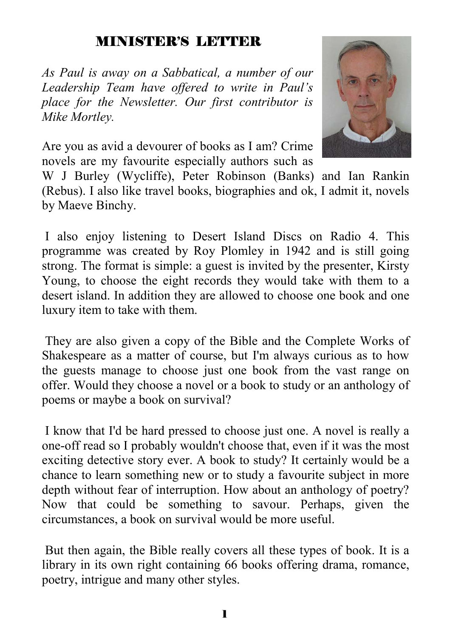## MINISTER'S LETTER

*As Paul is away on a Sabbatical, a number of our Leadership Team have offered to write in Paul's place for the Newsletter. Our first contributor is Mike Mortley.* 

Are you as avid a devourer of books as I am? Crime novels are my favourite especially authors such as

W J Burley (Wycliffe), Peter Robinson (Banks) and Ian Rankin (Rebus). I also like travel books, biographies and ok, I admit it, novels by Maeve Binchy.

 I also enjoy listening to Desert Island Discs on Radio 4. This programme was created by Roy Plomley in 1942 and is still going strong. The format is simple: a guest is invited by the presenter, Kirsty Young, to choose the eight records they would take with them to a desert island. In addition they are allowed to choose one book and one luxury item to take with them.

 They are also given a copy of the Bible and the Complete Works of Shakespeare as a matter of course, but I'm always curious as to how the guests manage to choose just one book from the vast range on offer. Would they choose a novel or a book to study or an anthology of poems or maybe a book on survival?

 I know that I'd be hard pressed to choose just one. A novel is really a one-off read so I probably wouldn't choose that, even if it was the most exciting detective story ever. A book to study? It certainly would be a chance to learn something new or to study a favourite subject in more depth without fear of interruption. How about an anthology of poetry? Now that could be something to savour. Perhaps, given the circumstances, a book on survival would be more useful.

 But then again, the Bible really covers all these types of book. It is a library in its own right containing 66 books offering drama, romance, poetry, intrigue and many other styles.

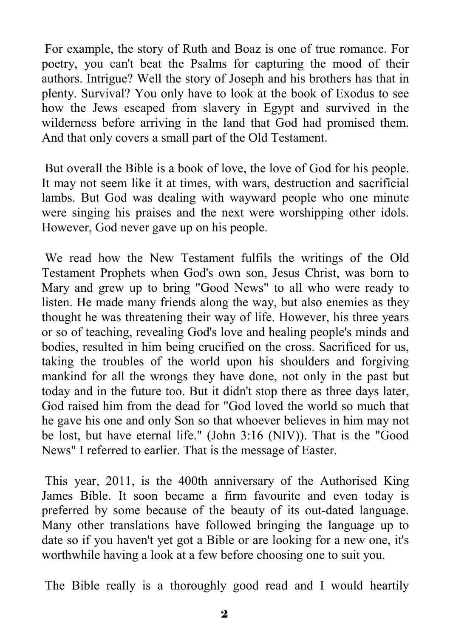For example, the story of Ruth and Boaz is one of true romance. For poetry, you can't beat the Psalms for capturing the mood of their authors. Intrigue? Well the story of Joseph and his brothers has that in plenty. Survival? You only have to look at the book of Exodus to see how the Jews escaped from slavery in Egypt and survived in the wilderness before arriving in the land that God had promised them. And that only covers a small part of the Old Testament.

 But overall the Bible is a book of love, the love of God for his people. It may not seem like it at times, with wars, destruction and sacrificial lambs. But God was dealing with wayward people who one minute were singing his praises and the next were worshipping other idols. However, God never gave up on his people.

 We read how the New Testament fulfils the writings of the Old Testament Prophets when God's own son, Jesus Christ, was born to Mary and grew up to bring "Good News" to all who were ready to listen. He made many friends along the way, but also enemies as they thought he was threatening their way of life. However, his three years or so of teaching, revealing God's love and healing people's minds and bodies, resulted in him being crucified on the cross. Sacrificed for us, taking the troubles of the world upon his shoulders and forgiving mankind for all the wrongs they have done, not only in the past but today and in the future too. But it didn't stop there as three days later, God raised him from the dead for "God loved the world so much that he gave his one and only Son so that whoever believes in him may not be lost, but have eternal life." (John 3:16 (NIV)). That is the "Good News" I referred to earlier. That is the message of Easter.

 This year, 2011, is the 400th anniversary of the Authorised King James Bible. It soon became a firm favourite and even today is preferred by some because of the beauty of its out-dated language. Many other translations have followed bringing the language up to date so if you haven't yet got a Bible or are looking for a new one, it's worthwhile having a look at a few before choosing one to suit you.

The Bible really is a thoroughly good read and I would heartily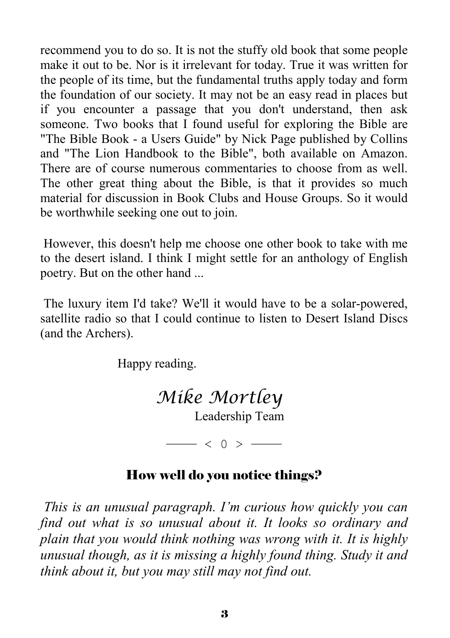recommend you to do so. It is not the stuffy old book that some people make it out to be. Nor is it irrelevant for today. True it was written for the people of its time, but the fundamental truths apply today and form the foundation of our society. It may not be an easy read in places but if you encounter a passage that you don't understand, then ask someone. Two books that I found useful for exploring the Bible are "The Bible Book - a Users Guide" by Nick Page published by Collins and "The Lion Handbook to the Bible", both available on Amazon. There are of course numerous commentaries to choose from as well. The other great thing about the Bible, is that it provides so much material for discussion in Book Clubs and House Groups. So it would be worthwhile seeking one out to join.

 However, this doesn't help me choose one other book to take with me to the desert island. I think I might settle for an anthology of English poetry. But on the other hand ...

 The luxury item I'd take? We'll it would have to be a solar-powered, satellite radio so that I could continue to listen to Desert Island Discs (and the Archers).

Happy reading.

 *Mike Mortley* 

Leadership Team

———— < 0 > ————

### How well do you notice things?

*This is an unusual paragraph. I'm curious how quickly you can find out what is so unusual about it. It looks so ordinary and plain that you would think nothing was wrong with it. It is highly unusual though, as it is missing a highly found thing. Study it and think about it, but you may still may not find out.*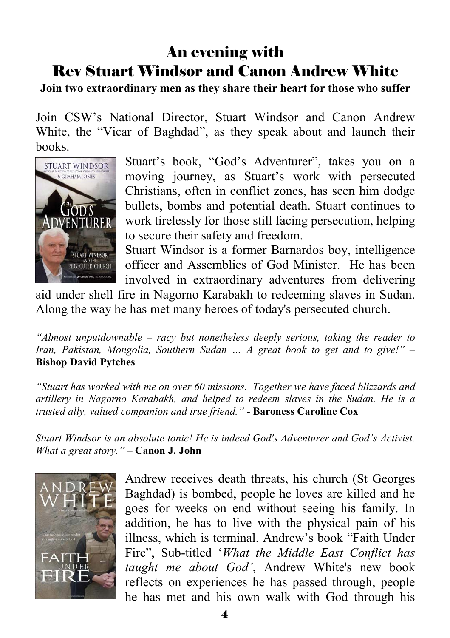# An evening with Rev Stuart Windsor and Canon Andrew White

#### **Join two extraordinary men as they share their heart for those who suffer**

Join CSW's National Director, Stuart Windsor and Canon Andrew White, the "Vicar of Baghdad", as they speak about and launch their books.



Stuart's book, "God's Adventurer", takes you on a moving journey, as Stuart's work with persecuted Christians, often in conflict zones, has seen him dodge bullets, bombs and potential death. Stuart continues to work tirelessly for those still facing persecution, helping to secure their safety and freedom.

Stuart Windsor is a former Barnardos boy, intelligence officer and Assemblies of God Minister. He has been involved in extraordinary adventures from delivering

aid under shell fire in Nagorno Karabakh to redeeming slaves in Sudan. Along the way he has met many heroes of today's persecuted church.

*"Almost unputdownable – racy but nonetheless deeply serious, taking the reader to Iran, Pakistan, Mongolia, Southern Sudan … A great book to get and to give!"* – **Bishop David Pytches** 

*"Stuart has worked with me on over 60 missions. Together we have faced blizzards and artillery in Nagorno Karabakh, and helped to redeem slaves in the Sudan. He is a trusted ally, valued companion and true friend."* - **Baroness Caroline Cox**

*Stuart Windsor is an absolute tonic! He is indeed God's Adventurer and God's Activist. What a great story."* – **Canon J. John**



Andrew receives death threats, his church (St Georges Baghdad) is bombed, people he loves are killed and he goes for weeks on end without seeing his family. In addition, he has to live with the physical pain of his illness, which is terminal. Andrew's book "Faith Under Fire", Sub-titled '*What the Middle East Conflict has taught me about God'*, Andrew White's new book reflects on experiences he has passed through, people he has met and his own walk with God through his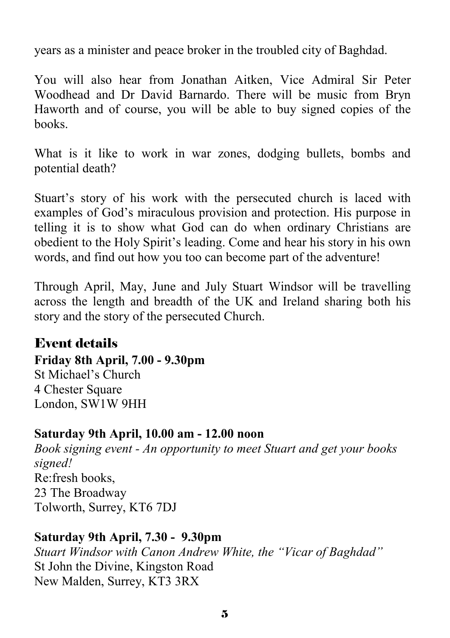years as a minister and peace broker in the troubled city of Baghdad.

You will also hear from Jonathan Aitken, Vice Admiral Sir Peter Woodhead and Dr David Barnardo. There will be music from Bryn Haworth and of course, you will be able to buy signed copies of the books.

What is it like to work in war zones, dodging bullets, bombs and potential death?

Stuart's story of his work with the persecuted church is laced with examples of God's miraculous provision and protection. His purpose in telling it is to show what God can do when ordinary Christians are obedient to the Holy Spirit's leading. Come and hear his story in his own words, and find out how you too can become part of the adventure!

Through April, May, June and July Stuart Windsor will be travelling across the length and breadth of the UK and Ireland sharing both his story and the story of the persecuted Church.

### Event details

**Friday 8th April, 7.00 - 9.30pm** 

St Michael's Church 4 Chester Square London, SW1W 9HH

### **Saturday 9th April, 10.00 am - 12.00 noon**

*Book signing event - An opportunity to meet Stuart and get your books signed!* Re:fresh books, 23 The Broadway Tolworth, Surrey, KT6 7DJ

### **Saturday 9th April, 7.30 - 9.30pm**

*Stuart Windsor with Canon Andrew White, the "Vicar of Baghdad"* St John the Divine, Kingston Road New Malden, Surrey, KT3 3RX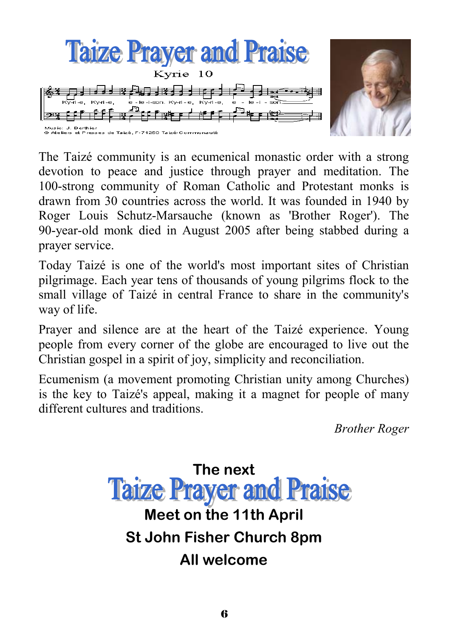

The Taizé community is an ecumenical monastic order with a strong devotion to peace and justice through prayer and meditation. The 100-strong community of Roman Catholic and Protestant monks is drawn from 30 countries across the world. It was founded in 1940 by Roger Louis Schutz-Marsauche (known as 'Brother Roger'). The 90-year-old monk died in August 2005 after being stabbed during a prayer service.

Today Taizé is one of the world's most important sites of Christian pilgrimage. Each year tens of thousands of young pilgrims flock to the small village of Taizé in central France to share in the community's way of life.

Prayer and silence are at the heart of the Taizé experience. Young people from every corner of the globe are encouraged to live out the Christian gospel in a spirit of joy, simplicity and reconciliation.

Ecumenism (a movement promoting Christian unity among Churches) is the key to Taizé's appeal, making it a magnet for people of many different cultures and traditions.

*Brother Roger* 

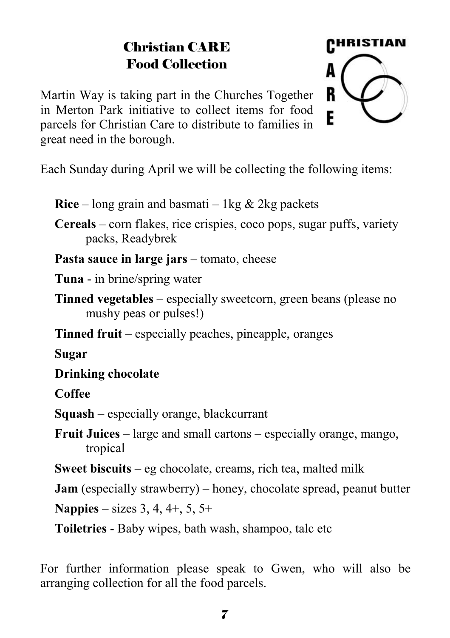# Christian CARE Food Collection

Martin Way is taking part in the Churches Together in Merton Park initiative to collect items for food parcels for Christian Care to distribute to families in great need in the borough.



Each Sunday during April we will be collecting the following items:

**Rice** – long grain and basmati – 1kg  $\&$  2kg packets

**Cereals** – corn flakes, rice crispies, coco pops, sugar puffs, variety packs, Readybrek

**Pasta sauce in large jars** – tomato, cheese

**Tuna** - in brine/spring water

**Tinned vegetables** – especially sweetcorn, green beans (please no mushy peas or pulses!)

**Tinned fruit** – especially peaches, pineapple, oranges

**Sugar** 

**Drinking chocolate** 

**Coffee** 

**Squash** – especially orange, blackcurrant

**Fruit Juices** – large and small cartons – especially orange, mango, tropical

**Sweet biscuits** – eg chocolate, creams, rich tea, malted milk

**Jam** (especially strawberry) – honey, chocolate spread, peanut butter

**Nappies** – sizes 3, 4, 4+, 5, 5+

**Toiletries** - Baby wipes, bath wash, shampoo, talc etc

For further information please speak to Gwen, who will also be arranging collection for all the food parcels.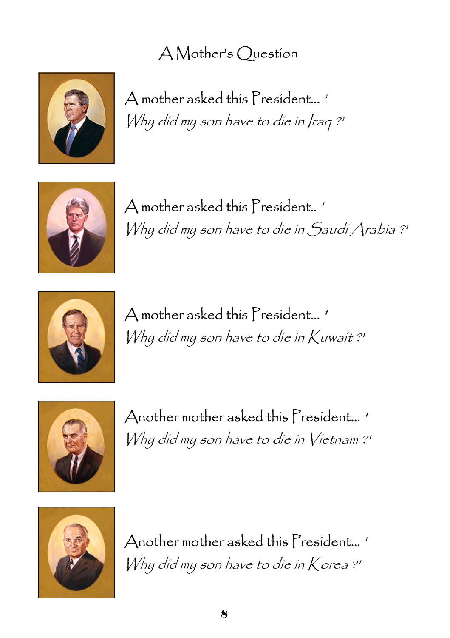# A Mother's Question



A mother asked this President... ' Why did my son have to die in Iraq ?'



A mother asked this President.. ' Why did my son have to die in Saudi Arabia ?'



A mother asked this President... ' Why did my son have to die in Kuwait ?'



Another mother asked this President... ' Why did my son have to die in Vietnam ?'



Another mother asked this President... ' Why did my son have to die in Korea ?'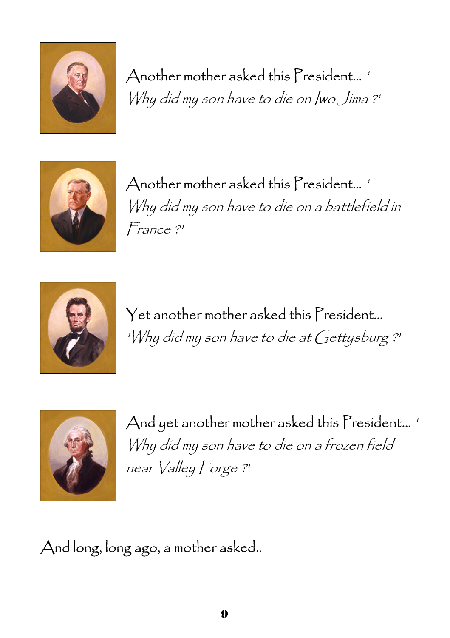

# Another mother asked this President... '

Why did my son have to die on Iwo Jima ?'



Another mother asked this President... ' Why did my son have to die on a battlefield in France ?'



Yet another mother asked this President... 'Why did my son have to die at Gettysburg ?'



And yet another mother asked this President...' Why did my son have to die on a frozen field near Valley Forge ?'

And long, long ago, a mother asked..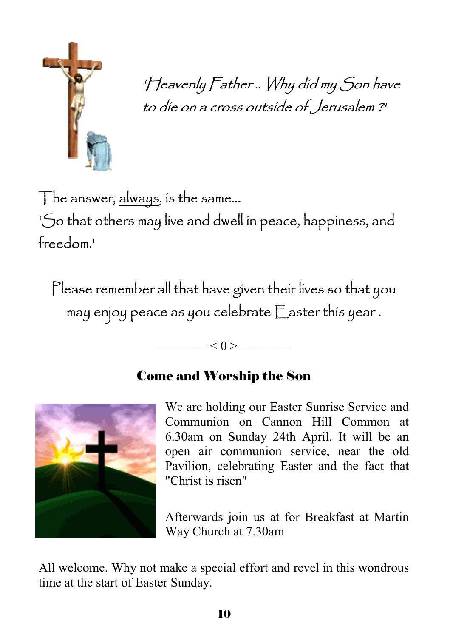

'Heavenly Father .. Why did my Son have to die on a cross outside of Jerusalem ?'

The answer, always, is the same...

'So that others may live and dwell in peace, happiness, and freedom.'

Please remember all that have given their lives so that you may enjoy peace as you celebrate Easter this year .

—— $< 0 >$ —

# Come and Worship the Son



We are holding our Easter Sunrise Service and Communion on Cannon Hill Common at 6.30am on Sunday 24th April. It will be an open air communion service, near the old Pavilion, celebrating Easter and the fact that "Christ is risen"

Afterwards join us at for Breakfast at Martin Way Church at 7.30am

All welcome. Why not make a special effort and revel in this wondrous time at the start of Easter Sunday.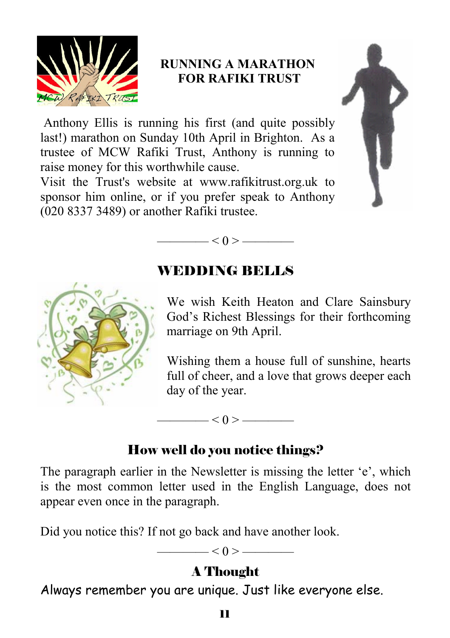

### **RUNNING A MARATHON FOR RAFIKI TRUST**

 Anthony Ellis is running his first (and quite possibly last!) marathon on Sunday 10th April in Brighton. As a trustee of MCW Rafiki Trust, Anthony is running to raise money for this worthwhile cause.

Visit the Trust's website at www.rafikitrust.org.uk to sponsor him online, or if you prefer speak to Anthony (020 8337 3489) or another Rafiki trustee.





## WEDDING BELLS



We wish Keith Heaton and Clare Sainsbury God's Richest Blessings for their forthcoming marriage on 9th April.

Wishing them a house full of sunshine, hearts full of cheer, and a love that grows deeper each day of the year.

### How well do you notice things?

 $\leq$  0 >  $\leq$ 

The paragraph earlier in the Newsletter is missing the letter 'e', which is the most common letter used in the English Language, does not appear even once in the paragraph.

Did you notice this? If not go back and have another look.

 $\leq 0$  >  $\leq$ 

## A Thought

Always remember you are unique. Just like everyone else.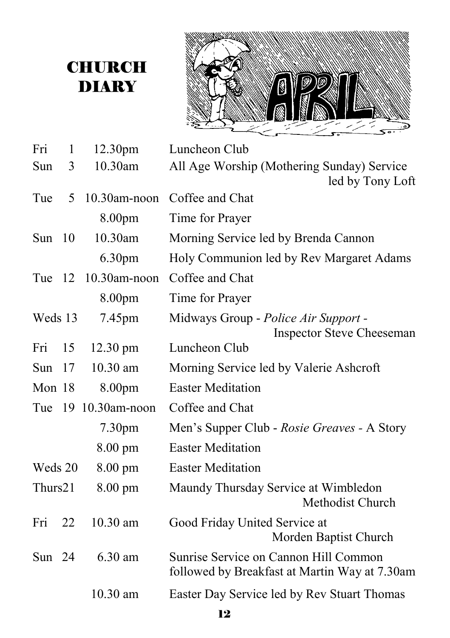# **CHURCH** DIARY



| Fri      | $\mathbf{1}$ | 12.30pm            | Luncheon Club                                                                          |
|----------|--------------|--------------------|----------------------------------------------------------------------------------------|
| Sun      | 3            | 10.30am            | All Age Worship (Mothering Sunday) Service                                             |
|          |              |                    | led by Tony Loft                                                                       |
| Tue      | 5            | $10.30$ am-noon    | Coffee and Chat                                                                        |
|          |              | 8.00pm             | Time for Prayer                                                                        |
| Sun $10$ |              | 10.30am            | Morning Service led by Brenda Cannon                                                   |
|          |              | 6.30pm             | Holy Communion led by Rev Margaret Adams                                               |
| Tue 12   |              | 10.30am-noon       | Coffee and Chat                                                                        |
|          |              | 8.00pm             | Time for Prayer                                                                        |
| Weds 13  |              | 7.45pm             | Midways Group - Police Air Support -<br><b>Inspector Steve Cheeseman</b>               |
| Fri      | 15           | $12.30 \text{ pm}$ | Luncheon Club                                                                          |
| Sun      | 17           | 10.30 am           | Morning Service led by Valerie Ashcroft                                                |
| Mon 18   |              | 8.00pm             | <b>Easter Meditation</b>                                                               |
| Tue      |              | 19 10.30am-noon    | Coffee and Chat                                                                        |
|          |              | 7.30pm             | Men's Supper Club - Rosie Greaves - A Story                                            |
|          |              | $8.00 \text{ pm}$  | <b>Easter Meditation</b>                                                               |
| Weds 20  |              | $8.00 \text{ pm}$  | <b>Easter Meditation</b>                                                               |
| Thurs21  |              | 8.00 pm            | Maundy Thursday Service at Wimbledon<br>Methodist Church                               |
| Fri      | 22           | $10.30$ am         | Good Friday United Service at<br>Morden Baptist Church                                 |
| Sun $24$ |              | 6.30 am            | Sunrise Service on Cannon Hill Common<br>followed by Breakfast at Martin Way at 7.30am |
|          |              | 10.30 am           | Easter Day Service led by Rev Stuart Thomas                                            |
|          |              |                    |                                                                                        |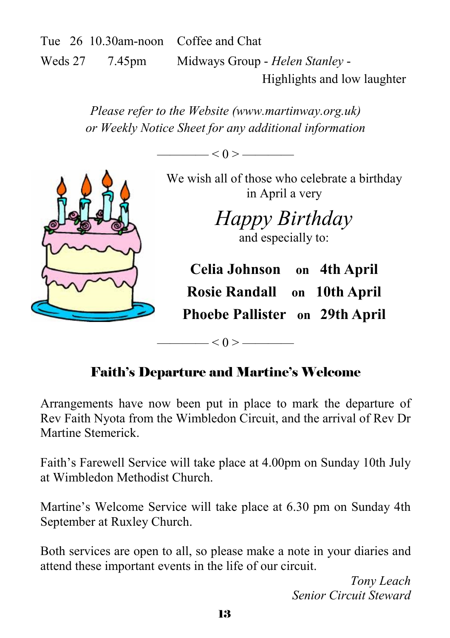Tue 26 10.30am-noon Coffee and Chat Weds 27 7.45pm Midways Group - *Helen Stanley* - Highlights and low laughter

> *Please refer to the Website (www.martinway.org.uk) or Weekly Notice Sheet for any additional information*

> > $< 0 >$  ——



We wish all of those who celebrate a birthday in April a very

> *Happy Birthday*  and especially to:

**Celia Johnson on 4th April Rosie Randall on 10th April Phoebe Pallister on 29th April**

# Faith's Departure and Martine's Welcome

 $-$  < 0 >  $-$ 

Arrangements have now been put in place to mark the departure of Rev Faith Nyota from the Wimbledon Circuit, and the arrival of Rev Dr Martine Stemerick.

Faith's Farewell Service will take place at 4.00pm on Sunday 10th July at Wimbledon Methodist Church.

Martine's Welcome Service will take place at 6.30 pm on Sunday 4th September at Ruxley Church.

Both services are open to all, so please make a note in your diaries and attend these important events in the life of our circuit.

> *Tony Leach Senior Circuit Steward*